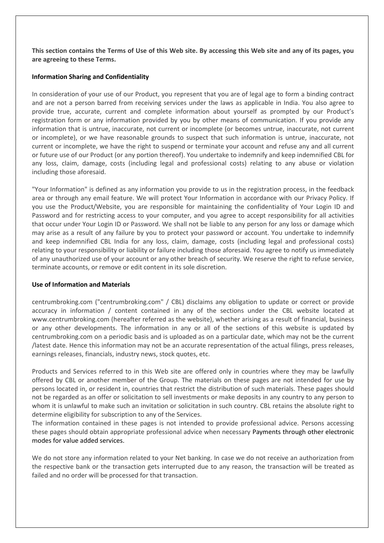**This section contains the Terms of Use of this Web site. By accessing this Web site and any of its pages, you are agreeing to these Terms.**

# **Information Sharing and Confidentiality**

In consideration of your use of our Product, you represent that you are of legal age to form a binding contract and are not a person barred from receiving services under the laws as applicable in India. You also agree to provide true, accurate, current and complete information about yourself as prompted by our Product's registration form or any information provided by you by other means of communication. If you provide any information that is untrue, inaccurate, not current or incomplete (or becomes untrue, inaccurate, not current or incomplete), or we have reasonable grounds to suspect that such information is untrue, inaccurate, not current or incomplete, we have the right to suspend or terminate your account and refuse any and all current or future use of our Product (or any portion thereof). You undertake to indemnify and keep indemnified CBL for any loss, claim, damage, costs (including legal and professional costs) relating to any abuse or violation including those aforesaid.

"Your Information" is defined as any information you provide to us in the registration process, in the feedback area or through any email feature. We will protect Your Information in accordance with our Privacy Policy. If you use the Product/Website, you are responsible for maintaining the confidentiality of Your Login ID and Password and for restricting access to your computer, and you agree to accept responsibility for all activities that occur under Your Login ID or Password. We shall not be liable to any person for any loss or damage which may arise as a result of any failure by you to protect your password or account. You undertake to indemnify and keep indemnified CBL India for any loss, claim, damage, costs (including legal and professional costs) relating to your responsibility or liability or failure including those aforesaid. You agree to notify us immediately of any unauthorized use of your account or any other breach of security. We reserve the right to refuse service, terminate accounts, or remove or edit content in its sole discretion.

## **Use of Information and Materials**

centrumbroking.com ("centrumbroking.com" / CBL) disclaims any obligation to update or correct or provide accuracy in information / content contained in any of the sections under the CBL website located at www.centrumbroking.com (hereafter referred as the website), whether arising as a result of financial, business or any other developments. The information in any or all of the sections of this website is updated by centrumbroking.com on a periodic basis and is uploaded as on a particular date, which may not be the current /latest date. Hence this information may not be an accurate representation of the actual filings, press releases, earnings releases, financials, industry news, stock quotes, etc.

Products and Services referred to in this Web site are offered only in countries where they may be lawfully offered by CBL or another member of the Group. The materials on these pages are not intended for use by persons located in, or resident in, countries that restrict the distribution of such materials. These pages should not be regarded as an offer or solicitation to sell investments or make deposits in any country to any person to whom it is unlawful to make such an invitation or solicitation in such country. CBL retains the absolute right to determine eligibility for subscription to any of the Services.

The information contained in these pages is not intended to provide professional advice. Persons accessing these pages should obtain appropriate professional advice when necessary Payments through other electronic modes for value added services.

We do not store any information related to your Net banking. In case we do not receive an authorization from the respective bank or the transaction gets interrupted due to any reason, the transaction will be treated as failed and no order will be processed for that transaction.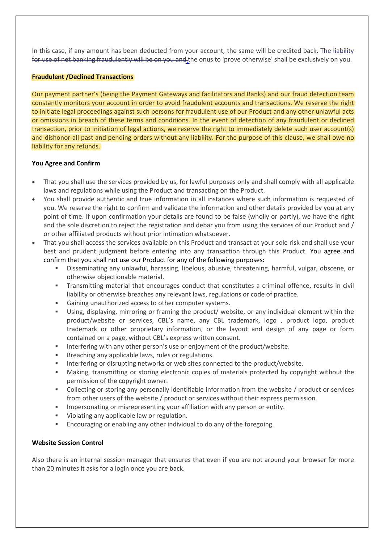In this case, if any amount has been deducted from your account, the same will be credited back. The liability for use of net banking fraudulently will be on you and the onus to 'prove otherwise' shall be exclusively on you.

## **Fraudulent /Declined Transactions**

Our payment partner's (being the Payment Gateways and facilitators and Banks) and our fraud detection team constantly monitors your account in order to avoid fraudulent accounts and transactions. We reserve the right to initiate legal proceedings against such persons for fraudulent use of our Product and any other unlawful acts or omissions in breach of these terms and conditions. In the event of detection of any fraudulent or declined transaction, prior to initiation of legal actions, we reserve the right to immediately delete such user account(s) and dishonor all past and pending orders without any liability. For the purpose of this clause, we shall owe no liability for any refunds.

## **You Agree and Confirm**

- That you shall use the services provided by us, for lawful purposes only and shall comply with all applicable laws and regulations while using the Product and transacting on the Product.
- You shall provide authentic and true information in all instances where such information is requested of you. We reserve the right to confirm and validate the information and other details provided by you at any point of time. If upon confirmation your details are found to be false (wholly or partly), we have the right and the sole discretion to reject the registration and debar you from using the services of our Product and / or other affiliated products without prior intimation whatsoever.
- That you shall access the services available on this Product and transact at your sole risk and shall use your best and prudent judgment before entering into any transaction through this Product. You agree and confirm that you shall not use our Product for any of the following purposes:
	- Disseminating any unlawful, harassing, libelous, abusive, threatening, harmful, vulgar, obscene, or otherwise objectionable material.
	- Transmitting material that encourages conduct that constitutes a criminal offence, results in civil liability or otherwise breaches any relevant laws, regulations or code of practice.
	- Gaining unauthorized access to other computer systems.
	- Using, displaying, mirroring or framing the product/ website, or any individual element within the product/website or services, CBL's name, any CBL trademark, logo , product logo, product trademark or other proprietary information, or the layout and design of any page or form contained on a page, without CBL's express written consent.
	- Interfering with any other person's use or enjoyment of the product/website.
	- Breaching any applicable laws, rules or regulations.
	- Interfering or disrupting networks or web sites connected to the product/website.
	- Making, transmitting or storing electronic copies of materials protected by copyright without the permission of the copyright owner.
	- Collecting or storing any personally identifiable information from the website / product or services from other users of the website / product or services without their express permission.
	- Impersonating or misrepresenting your affiliation with any person or entity.
	- Violating any applicable law or regulation.
	- Encouraging or enabling any other individual to do any of the foregoing.

## **Website Session Control**

Also there is an internal session manager that ensures that even if you are not around your browser for more than 20 minutes it asks for a login once you are back.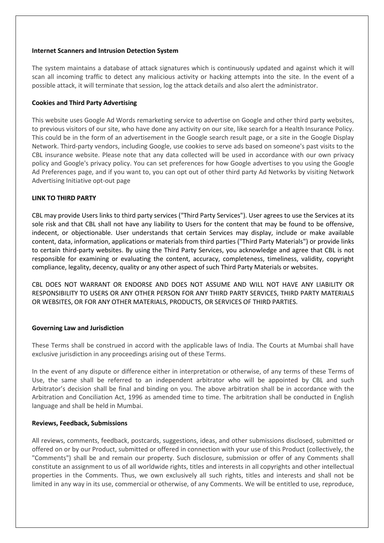#### **Internet Scanners and Intrusion Detection System**

The system maintains a database of attack signatures which is continuously updated and against which it will scan all incoming traffic to detect any malicious activity or hacking attempts into the site. In the event of a possible attack, it will terminate that session, log the attack details and also alert the administrator.

## **Cookies and Third Party Advertising**

This website uses Google Ad Words remarketing service to advertise on Google and other third party websites, to previous visitors of our site, who have done any activity on our site, like search for a Health Insurance Policy. This could be in the form of an advertisement in the Google search result page, or a site in the Google Display Network. Third-party vendors, including Google, use cookies to serve ads based on someone's past visits to the CBL insurance website. Please note that any data collected will be used in accordance with our own privacy policy and Google's privacy policy. You can set preferences for how Google advertises to you using the Google Ad Preferences page, and if you want to, you can opt out of other third party Ad Networks by visiting Network Advertising Initiative opt-out page

## **LINK TO THIRD PARTY**

CBL may provide Users links to third party services ("Third Party Services"). User agrees to use the Services at its sole risk and that CBL shall not have any liability to Users for the content that may be found to be offensive, indecent, or objectionable. User understands that certain Services may display, include or make available content, data, information, applications or materials from third parties ("Third Party Materials") or provide links to certain third-party websites. By using the Third Party Services, you acknowledge and agree that CBL is not responsible for examining or evaluating the content, accuracy, completeness, timeliness, validity, copyright compliance, legality, decency, quality or any other aspect of such Third Party Materials or websites.

CBL DOES NOT WARRANT OR ENDORSE AND DOES NOT ASSUME AND WILL NOT HAVE ANY LIABILITY OR RESPONSIBILITY TO USERS OR ANY OTHER PERSON FOR ANY THIRD PARTY SERVICES, THIRD PARTY MATERIALS OR WEBSITES, OR FOR ANY OTHER MATERIALS, PRODUCTS, OR SERVICES OF THIRD PARTIES.

## **Governing Law and Jurisdiction**

These Terms shall be construed in accord with the applicable laws of India. The Courts at Mumbai shall have exclusive jurisdiction in any proceedings arising out of these Terms.

In the event of any dispute or difference either in interpretation or otherwise, of any terms of these Terms of Use, the same shall be referred to an independent arbitrator who will be appointed by CBL and such Arbitrator's decision shall be final and binding on you. The above arbitration shall be in accordance with the Arbitration and Conciliation Act, 1996 as amended time to time. The arbitration shall be conducted in English language and shall be held in Mumbai.

## **Reviews, Feedback, Submissions**

All reviews, comments, feedback, postcards, suggestions, ideas, and other submissions disclosed, submitted or offered on or by our Product, submitted or offered in connection with your use of this Product (collectively, the "Comments") shall be and remain our property. Such disclosure, submission or offer of any Comments shall constitute an assignment to us of all worldwide rights, titles and interests in all copyrights and other intellectual properties in the Comments. Thus, we own exclusively all such rights, titles and interests and shall not be limited in any way in its use, commercial or otherwise, of any Comments. We will be entitled to use, reproduce,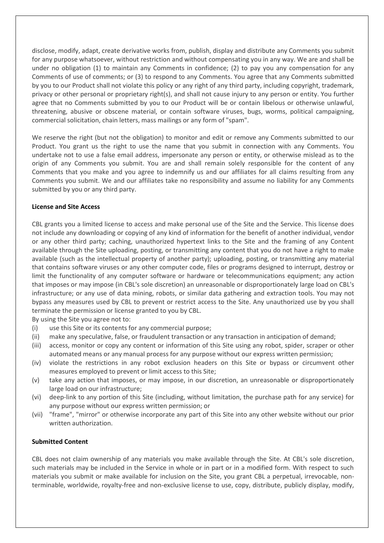disclose, modify, adapt, create derivative works from, publish, display and distribute any Comments you submit for any purpose whatsoever, without restriction and without compensating you in any way. We are and shall be under no obligation (1) to maintain any Comments in confidence; (2) to pay you any compensation for any Comments of use of comments; or (3) to respond to any Comments. You agree that any Comments submitted by you to our Product shall not violate this policy or any right of any third party, including copyright, trademark, privacy or other personal or proprietary right(s), and shall not cause injury to any person or entity. You further agree that no Comments submitted by you to our Product will be or contain libelous or otherwise unlawful, threatening, abusive or obscene material, or contain software viruses, bugs, worms, political campaigning, commercial solicitation, chain letters, mass mailings or any form of "spam".

We reserve the right (but not the obligation) to monitor and edit or remove any Comments submitted to our Product. You grant us the right to use the name that you submit in connection with any Comments. You undertake not to use a false email address, impersonate any person or entity, or otherwise mislead as to the origin of any Comments you submit. You are and shall remain solely responsible for the content of any Comments that you make and you agree to indemnify us and our affiliates for all claims resulting from any Comments you submit. We and our affiliates take no responsibility and assume no liability for any Comments submitted by you or any third party.

## **License and Site Access**

CBL grants you a limited license to access and make personal use of the Site and the Service. This license does not include any downloading or copying of any kind of information for the benefit of another individual, vendor or any other third party; caching, unauthorized hypertext links to the Site and the framing of any Content available through the Site uploading, posting, or transmitting any content that you do not have a right to make available (such as the intellectual property of another party); uploading, posting, or transmitting any material that contains software viruses or any other computer code, files or programs designed to interrupt, destroy or limit the functionality of any computer software or hardware or telecommunications equipment; any action that imposes or may impose (in CBL's sole discretion) an unreasonable or disproportionately large load on CBL's infrastructure; or any use of data mining, robots, or similar data gathering and extraction tools. You may not bypass any measures used by CBL to prevent or restrict access to the Site. Any unauthorized use by you shall terminate the permission or license granted to you by CBL.

By using the Site you agree not to:

- (i) use this Site or its contents for any commercial purpose;
- (ii) make any speculative, false, or fraudulent transaction or any transaction in anticipation of demand;
- (iii) access, monitor or copy any content or information of this Site using any robot, spider, scraper or other automated means or any manual process for any purpose without our express written permission;
- (iv) violate the restrictions in any robot exclusion headers on this Site or bypass or circumvent other measures employed to prevent or limit access to this Site;
- (v) take any action that imposes, or may impose, in our discretion, an unreasonable or disproportionately large load on our infrastructure;
- (vi) deep-link to any portion of this Site (including, without limitation, the purchase path for any service) for any purpose without our express written permission; or
- (vii) "frame", "mirror" or otherwise incorporate any part of this Site into any other website without our prior written authorization.

#### **Submitted Content**

CBL does not claim ownership of any materials you make available through the Site. At CBL's sole discretion, such materials may be included in the Service in whole or in part or in a modified form. With respect to such materials you submit or make available for inclusion on the Site, you grant CBL a perpetual, irrevocable, nonterminable, worldwide, royalty-free and non-exclusive license to use, copy, distribute, publicly display, modify,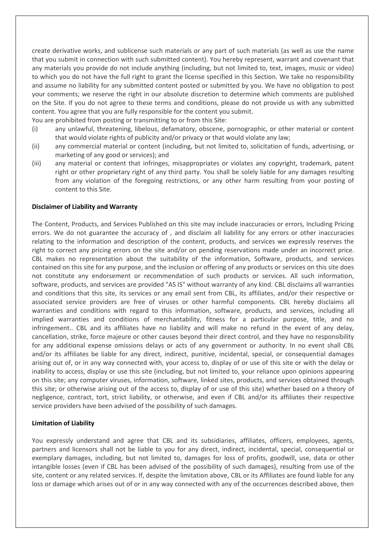create derivative works, and sublicense such materials or any part of such materials (as well as use the name that you submit in connection with such submitted content). You hereby represent, warrant and covenant that any materials you provide do not include anything (including, but not limited to, text, images, music or video) to which you do not have the full right to grant the license specified in this Section. We take no responsibility and assume no liability for any submitted content posted or submitted by you. We have no obligation to post your comments; we reserve the right in our absolute discretion to determine which comments are published on the Site. If you do not agree to these terms and conditions, please do not provide us with any submitted content. You agree that you are fully responsible for the content you submit.

You are prohibited from posting or transmitting to or from this Site:

- (i) any unlawful, threatening, libelous, defamatory, obscene, pornographic, or other material or content that would violate rights of publicity and/or privacy or that would violate any law;
- (ii) any commercial material or content (including, but not limited to, solicitation of funds, advertising, or marketing of any good or services); and
- (iii) any material or content that infringes, misappropriates or violates any copyright, trademark, patent right or other proprietary right of any third party. You shall be solely liable for any damages resulting from any violation of the foregoing restrictions, or any other harm resulting from your posting of content to this Site.

#### **Disclaimer of Liability and Warranty**

The Content, Products, and Services Published on this site may include inaccuracies or errors, Including Pricing errors. We do not guarantee the accuracy of , and disclaim all liability for any errors or other inaccuracies relating to the information and description of the content, products, and services we expressly reserves the right to correct any pricing errors on the site and/or on pending reservations made under an incorrect price. CBL makes no representation about the suitability of the information, Software, products, and services contained on this site for any purpose, and the inclusion or offering of any products or services on this site does not constitute any endorsement or recommendation of such products or services. All such information, software, products, and services are provided "AS IS" without warranty of any kind. CBL disclaims all warranties and conditions that this site, its services or any email sent from CBL, its affiliates, and/or their respective or associated service providers are free of viruses or other harmful components. CBL hereby disclaims all warranties and conditions with regard to this information, software, products, and services, including all implied warranties and conditions of merchantability, fitness for a particular purpose, title, and no infringement.. CBL and its affiliates have no liability and will make no refund in the event of any delay, cancellation, strike, force majeure or other causes beyond their direct control, and they have no responsibility for any additional expense omissions delays or acts of any government or authority. In no event shall CBL and/or its affiliates be liable for any direct, indirect, punitive, incidental, special, or consequential damages arising out of, or in any way connected with, your access to, display of or use of this site or with the delay or inability to access, display or use this site (including, but not limited to, your reliance upon opinions appearing on this site; any computer viruses, information, software, linked sites, products, and services obtained through this site; or otherwise arising out of the access to, display of or use of this site) whether based on a theory of negligence, contract, tort, strict liability, or otherwise, and even if CBL and/or its affiliates their respective service providers have been advised of the possibility of such damages.

## **Limitation of Liability**

You expressly understand and agree that CBL and its subsidiaries, affiliates, officers, employees, agents, partners and licensors shall not be liable to you for any direct, indirect, incidental, special, consequential or exemplary damages, including, but not limited to, damages for loss of profits, goodwill, use, data or other intangible losses (even if CBL has been advised of the possibility of such damages), resulting from use of the site, content or any related services. If, despite the limitation above, CBL or its Affiliates are found liable for any loss or damage which arises out of or in any way connected with any of the occurrences described above, then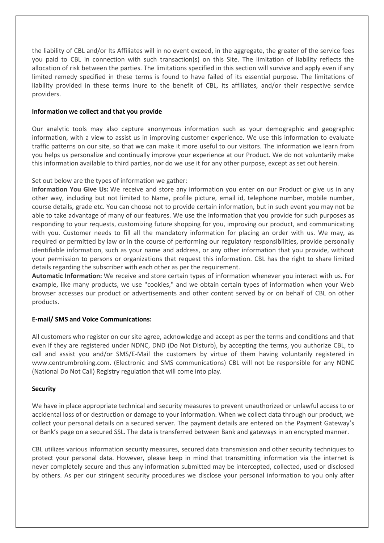the liability of CBL and/or Its Affiliates will in no event exceed, in the aggregate, the greater of the service fees you paid to CBL in connection with such transaction(s) on this Site. The limitation of liability reflects the allocation of risk between the parties. The limitations specified in this section will survive and apply even if any limited remedy specified in these terms is found to have failed of its essential purpose. The limitations of liability provided in these terms inure to the benefit of CBL, Its affiliates, and/or their respective service providers.

## **Information we collect and that you provide**

Our analytic tools may also capture anonymous information such as your demographic and geographic information, with a view to assist us in improving customer experience. We use this information to evaluate traffic patterns on our site, so that we can make it more useful to our visitors. The information we learn from you helps us personalize and continually improve your experience at our Product. We do not voluntarily make this information available to third parties, nor do we use it for any other purpose, except as set out herein.

# Set out below are the types of information we gather:

**Information You Give Us:** We receive and store any information you enter on our Product or give us in any other way, including but not limited to Name, profile picture, email id, telephone number, mobile number, course details, grade etc. You can choose not to provide certain information, but in such event you may not be able to take advantage of many of our features. We use the information that you provide for such purposes as responding to your requests, customizing future shopping for you, improving our product, and communicating with you. Customer needs to fill all the mandatory information for placing an order with us. We may, as required or permitted by law or in the course of performing our regulatory responsibilities, provide personally identifiable information, such as your name and address, or any other information that you provide, without your permission to persons or organizations that request this information. CBL has the right to share limited details regarding the subscriber with each other as per the requirement.

**Automatic Information:** We receive and store certain types of information whenever you interact with us. For example, like many products, we use "cookies," and we obtain certain types of information when your Web browser accesses our product or advertisements and other content served by or on behalf of CBL on other products.

## **E-mail/ SMS and Voice Communications:**

All customers who register on our site agree, acknowledge and accept as per the terms and conditions and that even if they are registered under NDNC, DND (Do Not Disturb), by accepting the terms, you authorize CBL, to call and assist you and/or SMS/E-Mail the customers by virtue of them having voluntarily registered in www.centrumbroking.com. (Electronic and SMS communications) CBL will not be responsible for any NDNC (National Do Not Call) Registry regulation that will come into play.

## **Security**

We have in place appropriate technical and security measures to prevent unauthorized or unlawful access to or accidental loss of or destruction or damage to your information. When we collect data through our product, we collect your personal details on a secured server. The payment details are entered on the Payment Gateway's or Bank's page on a secured SSL. The data is transferred between Bank and gateways in an encrypted manner.

CBL utilizes various information security measures, secured data transmission and other security techniques to protect your personal data. However, please keep in mind that transmitting information via the internet is never completely secure and thus any information submitted may be intercepted, collected, used or disclosed by others. As per our stringent security procedures we disclose your personal information to you only after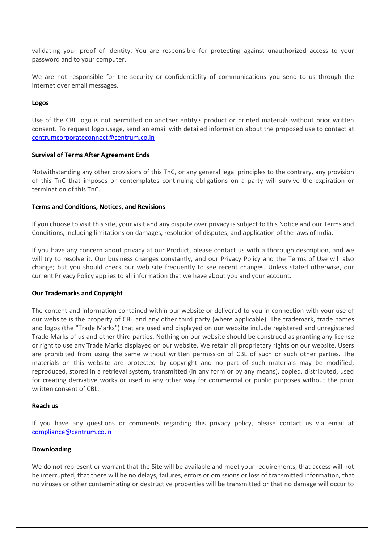validating your proof of identity. You are responsible for protecting against unauthorized access to your password and to your computer.

We are not responsible for the security or confidentiality of communications you send to us through the internet over email messages.

#### **Logos**

Use of the CBL logo is not permitted on another entity's product or printed materials without prior written consent. To request logo usage, send an email with detailed information about the proposed use to contact at [centrumcorporateconnect@centrum.co.in](mailto:centrumcorporateconnect@centrum.co.in)

#### **Survival of Terms After Agreement Ends**

Notwithstanding any other provisions of this TnC, or any general legal principles to the contrary, any provision of this TnC that imposes or contemplates continuing obligations on a party will survive the expiration or termination of this TnC.

#### **Terms and Conditions, Notices, and Revisions**

If you choose to visit this site, your visit and any dispute over privacy is subject to this Notice and our Terms and Conditions, including limitations on damages, resolution of disputes, and application of the laws of India.

If you have any concern about privacy at our Product, please contact us with a thorough description, and we will try to resolve it. Our business changes constantly, and our Privacy Policy and the Terms of Use will also change; but you should check our web site frequently to see recent changes. Unless stated otherwise, our current Privacy Policy applies to all information that we have about you and your account.

## **Our Trademarks and Copyright**

The content and information contained within our website or delivered to you in connection with your use of our website is the property of CBL and any other third party (where applicable). The trademark, trade names and logos (the "Trade Marks") that are used and displayed on our website include registered and unregistered Trade Marks of us and other third parties. Nothing on our website should be construed as granting any license or right to use any Trade Marks displayed on our website. We retain all proprietary rights on our website. Users are prohibited from using the same without written permission of CBL of such or such other parties. The materials on this website are protected by copyright and no part of such materials may be modified, reproduced, stored in a retrieval system, transmitted (in any form or by any means), copied, distributed, used for creating derivative works or used in any other way for commercial or public purposes without the prior written consent of CBL.

#### **Reach us**

If you have any questions or comments regarding this privacy policy, please contact us via email at [compliance@centrum.co.in](mailto:compliance@centrum.co.in)

#### **Downloading**

We do not represent or warrant that the Site will be available and meet your requirements, that access will not be interrupted, that there will be no delays, failures, errors or omissions or loss of transmitted information, that no viruses or other contaminating or destructive properties will be transmitted or that no damage will occur to